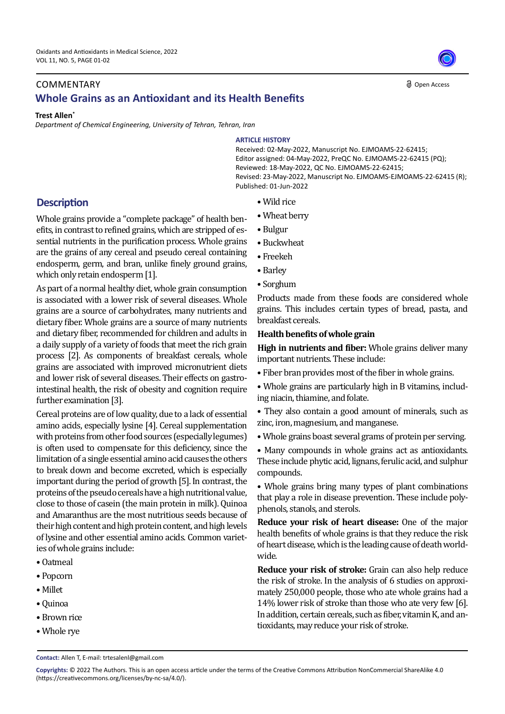## **COMMENTARY Whole Grains as an Antioxidant and its Health Benefits**

#### **Trest Allen\***

*Department of Chemical Engineering, University of Tehran, Tehran, Iran* 

## **ARTICLE HISTORY**

Received: 02-May-2022, Manuscript No. EJMOAMS-22-62415; Editor assigned: 04-May-2022, PreQC No. EJMOAMS-22-62415 (PQ); Reviewed: 18-May-2022, QC No. EJMOAMS-22-62415; Revised: 23-May-2022, Manuscript No. EJMOAMS-EJMOAMS-22-62415 (R); Published: 01-Jun-2022

Open Access

- Wild rice
- Wheat berry
- Bulgur
- Buckwheat
- Freekeh
- Barley
- Sorghum

Products made from these foods are considered whole grains. This includes certain types of bread, pasta, and breakfast cereals.

### **Health benefits of whole grain**

**High in nutrients and fiber:** Whole grains deliver many important nutrients. These include:

- Fiber bran provides most of the fiber in whole grains.
- Whole grains are particularly high in B vitamins, including niacin, thiamine, and folate.
- They also contain a good amount of minerals, such as zinc, iron, magnesium, and manganese.
- Whole grains boast several grams of protein per serving.

• Many compounds in whole grains act as antioxidants. These include phytic acid, lignans, ferulic acid, and sulphur compounds.

• Whole grains bring many types of plant combinations that play a role in disease prevention. These include polyphenols, stanols, and sterols.

**Reduce your risk of heart disease:** One of the major health benefits of whole grains is that they reduce the risk of heart disease, which is the leading cause of death worldwide.

**Reduce your risk of stroke:** Grain can also help reduce the risk of stroke. In the analysis of 6 studies on approximately 250,000 people, those who ate whole grains had a 14% lower risk of stroke than those who ate very few [6]. In addition, certain cereals, such as fiber, vitamin K, and antioxidants, may reduce your risk of stroke.

# **Description**

Whole grains provide a "complete package" of health benefits, in contrast to refined grains, which are stripped of essential nutrients in the purification process. Whole grains are the grains of any cereal and pseudo cereal containing endosperm, germ, and bran, unlike finely ground grains, which only retain endosperm [1].

As part of a normal healthy diet, whole grain consumption is associated with a lower risk of several diseases. Whole grains are a source of carbohydrates, many nutrients and dietary fiber. Whole grains are a source of many nutrients and dietary fiber, recommended for children and adults in a daily supply of a variety of foods that meet the rich grain process [2]. As components of breakfast cereals, whole grains are associated with improved micronutrient diets and lower risk of several diseases. Their effects on gastrointestinal health, the risk of obesity and cognition require further examination [3].

Cereal proteins are of low quality, due to a lack of essential amino acids, especially lysine [4]. Cereal supplementation with proteins from other food sources (especially legumes) is often used to compensate for this deficiency, since the limitation of a single essential amino acid causes the others to break down and become excreted, which is especially important during the period of growth [5]. In contrast, the proteins of the pseudo cereals have a high nutritional value, close to those of casein (the main protein in milk). Quinoa and Amaranthus are the most nutritious seeds because of their high content and high protein content, and high levels of lysine and other essential amino acids. Common varieties of whole grains include:

- Oatmeal
- Popcorn
- Millet
- Quinoa
- Brown rice
- Whole rye

**Contact:** Allen T, E-mail: trtesalenl@gmail.com



**Copyrights:** © 2022 The Authors. This is an open access article under the terms of the Creative Commons Attribution NonCommercial ShareAlike 4.0 (https://creativecommons.org/licenses/by-nc-sa/4.0/).